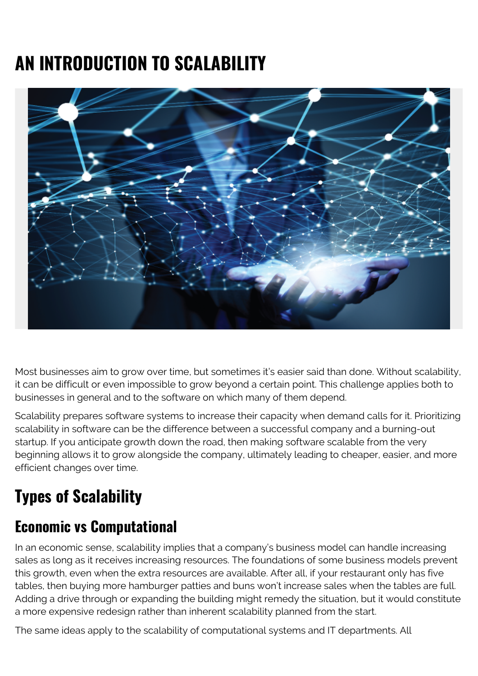# **AN INTRODUCTION TO SCALABILITY**



Most businesses aim to grow over time, but sometimes it's easier said than done. Without scalability, it can be difficult or even impossible to grow beyond a certain point. This challenge applies both to businesses in general and to the software on which many of them depend.

Scalability prepares software systems to increase their capacity when demand calls for it. Prioritizing scalability in software can be the difference between a successful company and a burning-out startup. If you anticipate growth down the road, then making software scalable from the very beginning allows it to grow alongside the company, ultimately leading to cheaper, easier, and more efficient changes over time.

## **Types of Scalability**

#### **Economic vs Computational**

In an economic sense, scalability implies that a company's business model can handle increasing sales as long as it receives increasing resources. The foundations of some business models prevent this growth, even when the extra resources are available. After all, if your restaurant only has five tables, then buying more hamburger patties and buns won't increase sales when the tables are full. Adding a drive through or expanding the building might remedy the situation, but it would constitute a more expensive redesign rather than inherent scalability planned from the start.

The same ideas apply to the scalability of computational systems and IT departments. All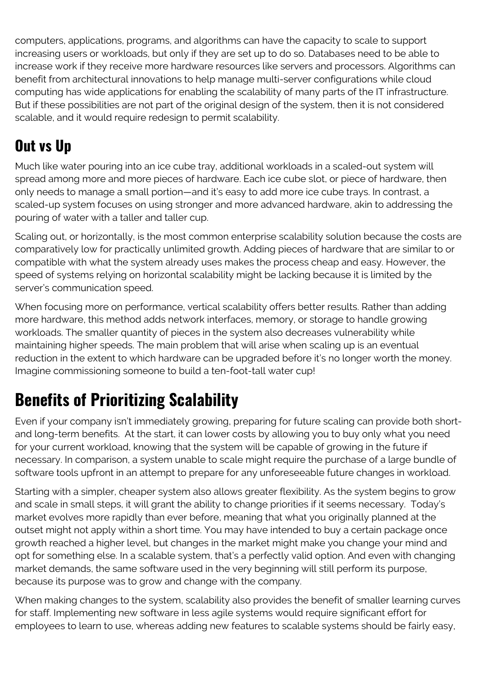computers, applications, programs, and algorithms can have the capacity to scale to support increasing users or workloads, but only if they are set up to do so. Databases need to be able to increase work if they receive more hardware resources like servers and processors. Algorithms can benefit from architectural innovations to help manage multi-server configurations while cloud computing has wide applications for enabling the scalability of many parts of the IT infrastructure. But if these possibilities are not part of the original design of the system, then it is not considered scalable, and it would require redesign to permit scalability.

#### **Out vs Up**

Much like water pouring into an ice cube tray, additional workloads in a scaled-out system will spread among more and more pieces of hardware. Each ice cube slot, or piece of hardware, then only needs to manage a small portion—and it's easy to add more ice cube trays. In contrast, a scaled-up system focuses on using stronger and more advanced hardware, akin to addressing the pouring of water with a taller and taller cup.

Scaling out, or horizontally, is the most common enterprise scalability solution because the costs are comparatively low for practically unlimited growth. Adding pieces of hardware that are similar to or compatible with what the system already uses makes the process cheap and easy. However, the speed of systems relying on horizontal scalability might be lacking because it is limited by the server's communication speed.

When focusing more on performance, vertical scalability offers better results. Rather than adding more hardware, this method adds network interfaces, memory, or storage to handle growing workloads. The smaller quantity of pieces in the system also decreases vulnerability while maintaining higher speeds. The main problem that will arise when scaling up is an eventual reduction in the extent to which hardware can be upgraded before it's no longer worth the money. Imagine commissioning someone to build a ten-foot-tall water cup!

### **Benefits of Prioritizing Scalability**

Even if your company isn't immediately growing, preparing for future scaling can provide both shortand long-term benefits. At the start, it can lower costs by allowing you to buy only what you need for your current workload, knowing that the system will be capable of growing in the future if necessary. In comparison, a system unable to scale might require the purchase of a large bundle of software tools upfront in an attempt to prepare for any unforeseeable future changes in workload.

Starting with a simpler, cheaper system also allows greater flexibility. As the system begins to grow and scale in small steps, it will grant the ability to change priorities if it seems necessary. Today's market evolves more rapidly than ever before, meaning that what you originally planned at the outset might not apply within a short time. You may have intended to buy a certain package once growth reached a higher level, but changes in the market might make you change your mind and opt for something else. In a scalable system, that's a perfectly valid option. And even with changing market demands, the same software used in the very beginning will still perform its purpose, because its purpose was to grow and change with the company.

When making changes to the system, scalability also provides the benefit of smaller learning curves for staff. Implementing new software in less agile systems would require significant effort for employees to learn to use, whereas adding new features to scalable systems should be fairly easy,